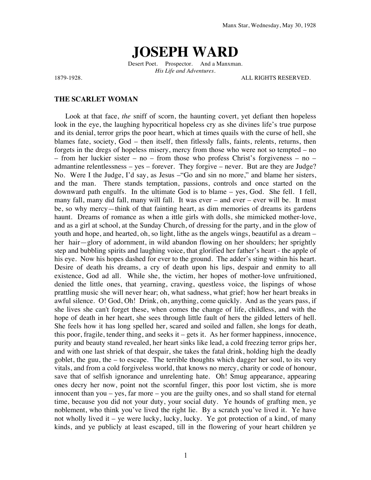# **JOSEPH WARD**

Desert Poet. Prospector. And a Manxman. *His Life and Adventures.*

1879-1928. ALL RIGHTS RESERVED.

### **THE SCARLET WOMAN**

Look at that face, *the* sniff of scorn, the haunting covert, yet defiant then hopeless look in the eye, the laughing hypocritical hopeless cry as she divines life's true purpose and its denial, terror grips the poor heart, which at times quails with the curse of hell, she blames fate, society, God – then itself, then fitlessly falls, faints, relents, returns, then forgets in the dregs of hopeless misery, mercy from those who were not so tempted – no – from her luckier sister – no – from those who profess Christ's forgiveness – no – admantine relentlessness – yes – forever. They forgive – never. But are they are Judge? No. Were I the Judge, I'd say, as Jesus –"Go and sin no more," and blame her sisters, and the man. There stands temptation, passions, controls and once started on the downward path engulfs. In the ultimate God is to blame – yes, God. She fell. I fell, many fall, many did fall, many will fall. It was ever – and ever – ever will be. It must be, so why mercy—think of that fainting heart, as dim memories of dreams its gardens haunt. Dreams of romance as when a ittle girls with dolls, she mimicked mother-love, and as a girl at school, at the Sunday Church, of dressing for the party, and in the glow of youth and hope, and hearted, oh, so light, lithe as the angels wings, beautiful as a dream – her hair—glory of adornment, in wild abandon flowing on her shoulders; her sprightly step and bubbling spirits and laughing voice, that glorified her father's heart - the apple of his eye. Now his hopes dashed for ever to the ground. The adder's sting within his heart. Desire of death his dreams, a cry of death upon his lips, despair and enmity to all existence, God ad all. While she, the victim, her hopes of mother-love unfruitioned, denied the little ones, that yearning, craving, questless voice, the lispings of whose prattling music she will never hear; oh, what sadness, what grief; how her heart breaks in awful silence. O! God, Oh! Drink, oh, anything, come quickly. And as the years pass, if she lives she can't forget these, when comes the change of life, childless, and with the hope of death in her heart, she sees through little fault of hers the gilded letters of hell. She feels how it has long spelled her, scared and soiled and fallen, she longs for death, this poor, fragile, tender thing, and seeks it – gets it. As her former happiness, innocence, purity and beauty stand revealed, her heart sinks like lead, a cold freezing terror grips her, and with one last shriek of that despair, she takes the fatal drink, holding high the deadly goblet, the guu, the – to escape. The terrible thoughts which dagger her soul, to its very vitals, and from a cold forgiveless world, that knows no mercy, charity or code of honour, save that of selfish ignorance and unrelenting hate. Oh! Smug appearance, appearing ones decry her now, point not the scornful finger, this poor lost victim, she is more innocent than you – yes, far more – you are the guilty ones, and so shall stand for eternal time, because you did not your duty, your social duty. Ye hounds of grafting men, ye noblement, who think you've lived the right lie. By a scratch you've lived it. Ye have not wholly lived it – ye were lucky, lucky, lucky. Ye got protection of a kind, of many kinds, and ye publicly at least escaped, till in the flowering of your heart children ye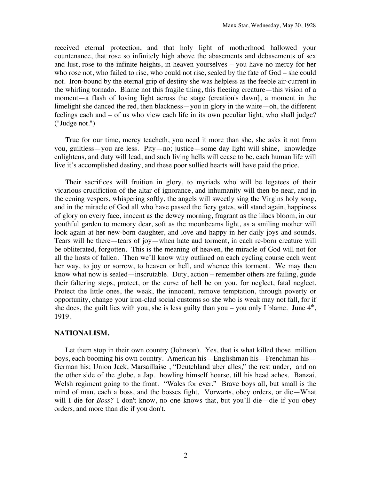received eternal protection, and that holy light of motherhood hallowed your countenance, that rose so infinitely high above the abasements and debasements of sex and lust, rose to the infinite heights, in heaven yourselves – you have no mercy for her who rose not, who failed to rise, who could not rise, sealed by the fate of God – she could not. Iron-bound by the eternal grip of destiny she was helpless as the feeble air-current in the whirling tornado. Blame not this fragile thing, this fleeting creature—this vision of a moment—a flash of loving light across the stage (creation's dawn], a moment in the limelight she danced the red, then blackness—you in glory in the white—oh, the different feelings each and – of us who view each life in its own peculiar light, who shall judge? ("Judge not.")

True for our time, mercy teacheth, you need it more than she, she asks it not from you, guiltless—you are less. Pity—no; justice—some day light will shine, knowledge enlightens, and duty will lead, and such living hells will cease to be, each human life will live it's accomplished destiny, and these poor sullied hearts will have paid the price.

Their sacrifices will fruition in glory, to myriads who will be legatees of their vicarious crucifiction of the altar of ignorance, and inhumanity will then be near, and in the eening vespers, whispering softly, the angels will sweetly sing the Virgins holy song, and in the miracle of God all who have passed the fiery gates, will stand again, happiness of glory on every face, inocent as the dewey morning, fragrant as the lilacs bloom, in our youthful garden to memory dear, soft as the moonbeams light, as a smiling mother will look again at her new-born daughter, and love and happy in her daily joys and sounds. Tears will he there—tears of joy—when hate aud torment, in each re-born creature will be obliterated, forgotten. This is the meaning of heaven, the miracle of God will not for all the hosts of fallen. Then we'll know why outlined on each cycling course each went her way, to joy or sorrow, to heaven or hell, and whence this torment. We may then know what now is sealed—inscrutable. Duty, action – remember others are failing, guide their faltering steps, protect, or the curse of hell be on you, for neglect, fatal neglect. Protect the little ones, the weak, the innocent, remove temptation, through poverty or opportunity, change your iron-clad social customs so she who is weak may not fall, for if she does, the guilt lies with you, she is less guilty than you – you only I blame. June  $4<sup>th</sup>$ , 1919.

### **NATIONALISM.**

Let them stop in their own country (Johnson). Yes, that is what killed those million boys, each booming his own country. American his—Englishman his—Frenchman his— German his; Union Jack, Marsaillaise , "Deutchland uber alles," the rest under, and on the other side of the globe, a Jap. howling himself hoarse, till his head aches. Banzai. Welsh regiment going to the front. "Wales for ever." Brave boys all, but small is the mind of man, each a boss, and the bosses fight, Vorwarts, obey orders, or die—What will I die for *Boss?* I don't know, no one knows that, but you'll die—die if you obey orders, and more than die if you don't.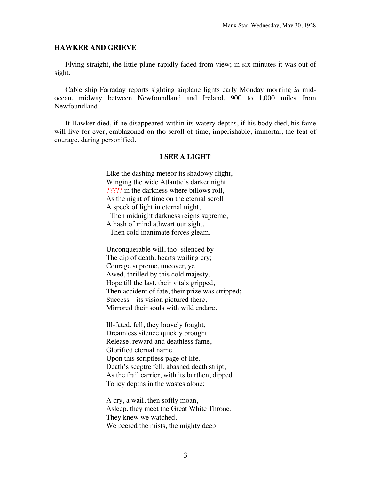#### **HAWKER AND GRIEVE**

Flying straight, the little plane rapidly faded from view; in six minutes it was out of sight.

Cable ship Farraday reports sighting airplane lights early Monday morning *in* midocean, midway between Newfoundland and Ireland, 900 to 1,000 miles from Newfoundland.

It Hawker died, if he disappeared within its watery depths, if his body died, his fame will live for ever, emblazoned on tho scroll of time, imperishable, immortal, the feat of courage, daring personified.

## **I SEE A LIGHT**

Like the dashing meteor its shadowy flight, Winging the wide Atlantic's darker night. ????? in the darkness where billows roll, As the night of time on the eternal scroll. A speck of light in eternal night,

 Then midnight darkness reigns supreme; A hash of mind athwart our sight,

Then cold inanimate forces gleam.

Unconquerable will, tho' silenced by The dip of death, hearts wailing cry; Courage supreme, uncover, ye. Awed, thrilled by this cold majesty. Hope till the last, their vitals gripped, Then accident of fate, their prize was stripped; Success – its vision pictured there, Mirrored their souls with wild endare.

Ill-fated, fell, they bravely fought; Dreamless silence quickly brought Release, reward and deathless fame, Glorified eternal name. Upon this scriptless page of life. Death's sceptre fell, abashed death stript, As the frail carrier, with its burthen, dipped To icy depths in the wastes alone;

A cry, a wail, then softly moan, Asleep, they meet the Great White Throne. They knew we watched. We peered the mists, the mighty deep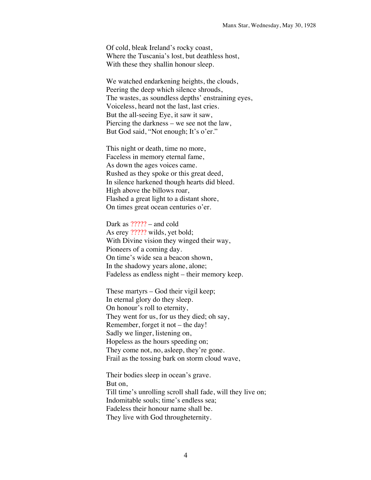Of cold, bleak Ireland's rocky coast, Where the Tuscania's lost, but deathless host, With these they shallin honour sleep.

We watched endarkening heights, the clouds, Peering the deep which silence shrouds, The wastes, as soundless depths' enstraining eyes, Voiceless, heard not the last, last cries. But the all-seeing Eye, it saw it saw, Piercing the darkness – we see not the law, But God said, "Not enough; It's o'er."

This night or death, time no more, Faceless in memory eternal fame, As down the ages voices came. Rushed as they spoke or this great deed, In silence harkened though hearts did bleed. High above the billows roar, Flashed a great light to a distant shore, On times great ocean centuries o'er.

Dark as  $?$ ???? – and cold As erey ????? wilds, yet bold; With Divine vision they winged their way, Pioneers of a coming day. On time's wide sea a beacon shown, In the shadowy years alone, alone; Fadeless as endless night – their memory keep.

These martyrs – God their vigil keep; In eternal glory do they sleep. On honour's roll to eternity, They went for us, for us they died; oh say, Remember, forget it not – the day! Sadly we linger, listening on, Hopeless as the hours speeding on; They come not, no, asleep, they're gone. Frail as the tossing bark on storm cloud wave,

Their bodies sleep in ocean's grave. But on, Till time's unrolling scroll shall fade, will they live on; Indomitable souls; time's endless sea; Fadeless their honour name shall be. They live with God througheternity.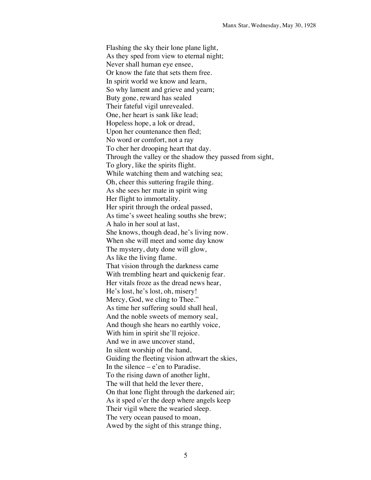Flashing the sky their lone plane light, As they sped from view to eternal night; Never shall human eye ensee, Or know the fate that sets them free. In spirit world we know and learn, So why lament and grieve and yearn; Buty gone, reward has sealed Their fateful vigil unrevealed. One, her heart is sank like lead; Hopeless hope, a lok or dread, Upon her countenance then fled; No word or comfort, not a ray To cher her drooping heart that day. Through the valley or the shadow they passed from sight, To glory, like the spirits flight. While watching them and watching sea; Oh, cheer this suttering fragile thing. As she sees her mate in spirit wing Her flight to immortality. Her spirit through the ordeal passed, As time's sweet healing souths she brew; A halo in her soul at last, She knows, though dead, he's living now. When she will meet and some day know The mystery, duty done will glow, As like the living flame. That vision through the darkness came With trembling heart and quickenig fear. Her vitals froze as the dread news hear, He's lost, he's lost, oh, misery! Mercy, God, we cling to Thee." As time her suffering sould shall heal, And the noble sweets of memory seal, And though she hears no earthly voice, With him in spirit she'll rejoice. And we in awe uncover stand, In silent worship of the hand, Guiding the fleeting vision athwart the skies, In the silence  $-e$ 'en to Paradise. To the rising dawn of another light, The will that held the lever there, On that lone flight through the darkened air; As it sped o'er the deep where angels keep Their vigil where the wearied sleep. The very ocean paused to moan, Awed by the sight of this strange thing,